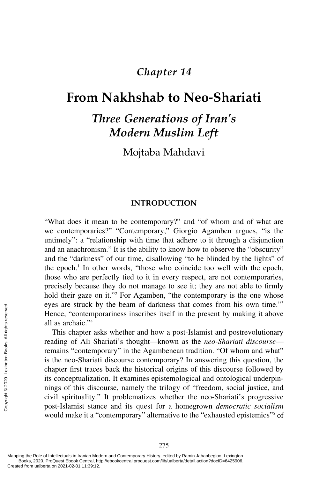# *Chapter 14*

# **[From Nakhshab to Neo-Shariati](#page--1-0)**

# *Three Generations of Iran's Modern Muslim Left*

Mojtaba Mahdavi

#### **INTRODUCTION**

"What does it mean to be contemporary?" and "of whom and of what are we contemporaries?" "Contemporary," Giorgio Agamben argues, "is the untimely": a "relationship with time that adhere to it through a disjunction and an anachronism." It is the ability to know how to observe the "obscurity" and the "darkness" of our time, disallowing "to be blinded by the lights" of the epoch.<sup>1</sup> In other words, "those who coincide too well with the epoch, those who are perfectly tied to it in every respect, are not contemporaries, precisely because they do not manage to see it; they are not able to firmly hold their gaze on it."<sup>2</sup> For Agamben, "the contemporary is the one whose eyes are struck by the beam of darkness that comes from his own time."3 Hence, "contemporariness inscribes itself in the present by making it above all as archaic."4

This chapter asks whether and how a post-Islamist and postrevolutionary reading of Ali Shariati's thought—known as the *neo-Shariati discourse* remains "contemporary" in the Agambenean tradition. "Of whom and what" is the neo-Shariati discourse contemporary? In answering this question, the chapter first traces back the historical origins of this discourse followed by its conceptualization. It examines epistemological and ontological underpinnings of this discourse, namely the trilogy of "freedom, social justice, and civil spirituality." It problematizes whether the neo-Shariati's progressive post-Islamist stance and its quest for a homegrown *democratic socialism* would make it a "contemporary" alternative to the "exhausted epistemics"<sup>5</sup> of Exerces are struck by<br>
Hence, "contempo<br>
all as archaic."<sup>4</sup><br>
This chapter as<br>
reading of Ali St<br>
remains "contemp<br>
is the neo-Shariat<br>
chapter first trace<br>
its conceptualizati<br>
mings of this disc<br>
civil spirituality."<br>
po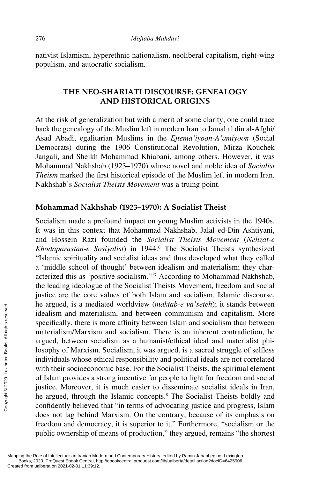nativist Islamism, hyperethnic nationalism, neoliberal capitalism, right-wing populism, and autocratic socialism.

# **THE NEO-SHARIATI DISCOURSE: GENEALOGY AND HISTORICAL ORIGINS**

At the risk of generalization but with a merit of some clarity, one could trace back the genealogy of the Muslim left in modern Iran to Jamal al din al-Afghi/ Asad Abadi, egalitarian Muslims in the *Ejtema'iyoon-A'amiyoon* (Social Democrats) during the 1906 Constitutional Revolution, Mirza Kouchek Jangali, and Sheikh Mohammad Khiabani, among others. However, it was Mohammad Nakhshab (1923–1970) whose novel and noble idea of *Socialist Theism* marked the first historical episode of the Muslim left in modern Iran. Nakhshab's *Socialist Theists Movement* was a truing point.

#### **Mohammad Nakhshab (1923–1970): A Socialist Theist**

Socialism made a profound impact on young Muslim activists in the 1940s. It was in this context that Mohammad Nakhshab, Jalal ed-Din Ashtiyani, and Hossein Razi founded the *Socialist Theists Movement* (*Nehzat-e Khodaparastan-e Sosiyalist*) in 1944.6 The Socialist Theists synthesized "Islamic spirituality and socialist ideas and thus developed what they called a 'middle school of thought' between idealism and materialism; they characterized this as 'positive socialism.'"7 According to Mohammad Nakhshab, the leading ideologue of the Socialist Theists Movement, freedom and social justice are the core values of both Islam and socialism. Islamic discourse, he argued, is a mediated worldview (*maktab-e va'seteh*); it stands between idealism and materialism, and between communism and capitalism. More specifically, there is more affinity between Islam and socialism than between materialism/Marxism and socialism. There is an inherent contradiction, he argued, between socialism as a humanist/ethical ideal and materialist philosophy of Marxism. Socialism, it was argued, is a sacred struggle of selfless individuals whose ethical responsibility and political ideals are not correlated with their socioeconomic base. For the Socialist Theists, the spiritual element of Islam provides a strong incentive for people to fight for freedom and social justice. Moreover, it is much easier to disseminate socialist ideals in Iran, he argued, through the Islamic concepts.<sup>8</sup> The Socialist Theists boldly and confidently believed that "in terms of advocating justice and progress, Islam does not lag behind Marxism. On the contrary, because of its emphasis on freedom and democracy, it is superior to it." Furthermore, "socialism or the public ownership of means of production," they argued, remains "the shortest The argued, is a mediator<br>
idealism and materialism<br>
specifically, there is<br>
materialism/Marxism<br>
argued, between soc<br>
losophy of Marxism.<br>
individuals whose etl<br>
with their socioecond<br>
of Islam provides a s<br>
justice. More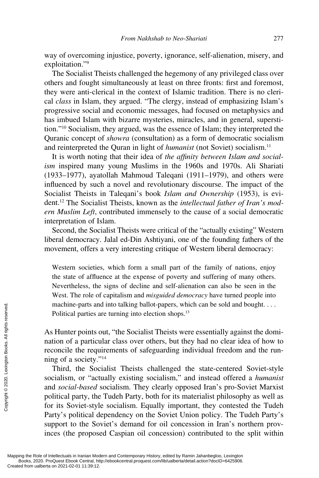way of overcoming injustice, poverty, ignorance, self-alienation, misery, and exploitation."9

The Socialist Theists challenged the hegemony of any privileged class over others and fought simultaneously at least on three fronts: first and foremost, they were anti-clerical in the context of Islamic tradition. There is no clerical *class* in Islam, they argued. "The clergy, instead of emphasizing Islam's progressive social and economic messages, had focused on metaphysics and has imbued Islam with bizarre mysteries, miracles, and in general, superstition."10 Socialism, they argued, was the essence of Islam; they interpreted the Quranic concept of *showra* (consultation) as a form of democratic socialism and reinterpreted the Quran in light of *humanist* (not Soviet) socialism.<sup>11</sup>

It is worth noting that their idea of *the affinity between Islam and socialism* inspired many young Muslims in the 1960s and 1970s. Ali Shariati (1933–1977), ayatollah Mahmoud Taleqani (1911–1979), and others were influenced by such a novel and revolutionary discourse. The impact of the Socialist Theists in Taleqani's book *Islam and Ownership* (1953), is evident.12 The Socialist Theists, known as the *intellectual father of Iran's modern Muslim Left*, contributed immensely to the cause of a social democratic interpretation of Islam.

Second, the Socialist Theists were critical of the "actually existing" Western liberal democracy. Jalal ed-Din Ashtiyani, one of the founding fathers of the movement, offers a very interesting critique of Western liberal democracy:

Western societies, which form a small part of the family of nations, enjoy the state of affluence at the expense of poverty and suffering of many others. Nevertheless, the signs of decline and self-alienation can also be seen in the West. The role of capitalism and *misguided democracy* have turned people into machine-parts and into talking ballot-papers, which can be sold and bought. . . . Political parties are turning into election shops.<sup>13</sup>

As Hunter points out, "the Socialist Theists were essentially against the domination of a particular class over others, but they had no clear idea of how to reconcile the requirements of safeguarding individual freedom and the running of a society."14

Third, the Socialist Theists challenged the state-centered Soviet-style socialism, or "actually existing socialism," and instead offered a *humanist* and *social-based* socialism. They clearly opposed Iran's pro-Soviet Marxist political party, the Tudeh Party, both for its materialist philosophy as well as for its Soviet-style socialism. Equally important, they contested the Tudeh Party's political dependency on the Soviet Union policy. The Tudeh Party's support to the Soviet's demand for oil concession in Iran's northern provinces (the proposed Caspian oil concession) contributed to the split within machine-parts an<br>
Political parties a<br>  $\frac{1}{2}$ <br>  $\frac{1}{2}$ <br>  $\frac{1}{2}$ <br>  $\frac{1}{2}$ <br>  $\frac{1}{2}$ <br>  $\frac{1}{2}$ <br>  $\frac{1}{2}$ <br>  $\frac{1}{2}$ <br>  $\frac{1}{2}$ <br>  $\frac{1}{2}$ <br>  $\frac{1}{2}$ <br>  $\frac{1}{2}$ <br>  $\frac{1}{2}$ <br>  $\frac{1}{2}$ <br>  $\frac{1}{2}$ <br>  $\frac{1}{2}$ <br>  $\frac{1}{$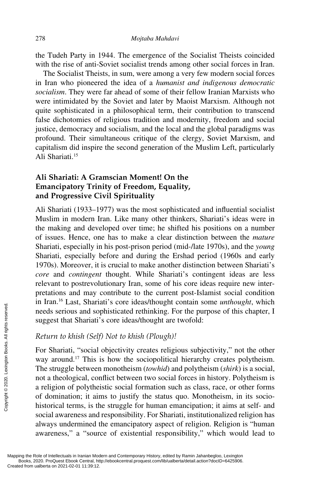the Tudeh Party in 1944. The emergence of the Socialist Theists coincided with the rise of anti-Soviet socialist trends among other social forces in Iran.

The Socialist Theists, in sum, were among a very few modern social forces in Iran who pioneered the idea of a *humanist and indigenous democratic socialism*. They were far ahead of some of their fellow Iranian Marxists who were intimidated by the Soviet and later by Maoist Marxism. Although not quite sophisticated in a philosophical term, their contribution to transcend false dichotomies of religious tradition and modernity, freedom and social justice, democracy and socialism, and the local and the global paradigms was profound. Their simultaneous critique of the clergy, Soviet Marxism, and capitalism did inspire the second generation of the Muslim Left, particularly Ali Shariati.15

## **Ali Shariati: A Gramscian Moment! On the Emancipatory Trinity of Freedom, Equality, and Progressive Civil Spirituality**

Ali Shariati (1933–1977) was the most sophisticated and influential socialist Muslim in modern Iran. Like many other thinkers, Shariati's ideas were in the making and developed over time; he shifted his positions on a number of issues. Hence, one has to make a clear distinction between the *mature* Shariati, especially in his post-prison period (mid-/late 1970s), and the *young* Shariati, especially before and during the Ershad period (1960s and early 1970s). Moreover, it is crucial to make another distinction between Shariati's *core* and *contingent* thought. While Shariati's contingent ideas are less relevant to postrevolutionary Iran, some of his core ideas require new interpretations and may contribute to the current post-Islamist social condition in Iran.16 Last, Shariati's core ideas/thought contain some *unthought*, which needs serious and sophisticated rethinking. For the purpose of this chapter, I suggest that Shariati's core ideas/thought are twofold:

#### *Return to khish (Self) Not to khish (Plough)!*

For Shariati, "social objectivity creates religious subjectivity," not the other way around.<sup>17</sup> This is how the sociopolitical hierarchy creates polytheism. The struggle between monotheism (*towhid*) and polytheism (*shirk*) is a social, not a theological, conflict between two social forces in history. Polytheism is a religion of polytheistic social formation such as class, race, or other forms of domination; it aims to justify the status quo. Monotheism, in its sociohistorical terms, is the struggle for human emancipation; it aims at self- and social awareness and responsibility. For Shariati, institutionalized religion has always undermined the emancipatory aspect of religion. Religion is "human awareness," a "source of existential responsibility," which would lead to Exerce that Shariati's mediator of the strengthrom and so suggest that Shariati's  $Return to khish (Self)$  For Shariati, "social way around.<sup>17</sup> This  $\frac{1}{25}$  The struggle betweer not a theological, con a religion of polythe of domi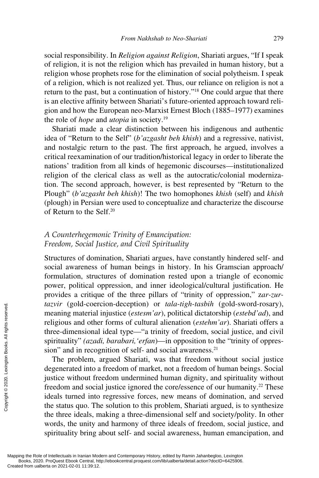social responsibility. In *Religion against Religion*, Shariati argues, "If I speak of religion, it is not the religion which has prevailed in human history, but a religion whose prophets rose for the elimination of social polytheism. I speak of a religion, which is not realized yet. Thus, our reliance on religion is not a return to the past, but a continuation of history."18 One could argue that there is an elective affinity between Shariati's future-oriented approach toward religion and how the European neo-Marxist Ernest Bloch (1885–1977) examines the role of *hope* and *utopia* in society.19

Shariati made a clear distinction between his indigenous and authentic idea of "Return to the Self" (*b'azgasht beh khish*) and a regressive, nativist, and nostalgic return to the past. The first approach, he argued, involves a critical reexamination of our tradition/historical legacy in order to liberate the nations' tradition from all kinds of hegemonic discourses—institutionalized religion of the clerical class as well as the autocratic/colonial modernization. The second approach, however, is best represented by "Return to the Plough" (*b'azgasht beh khish*)! The two homophones *khish* (self) and *khish* (plough) in Persian were used to conceptualize and characterize the discourse of Return to the Self.20

### *A Counterhegemonic Trinity of Emancipation: Freedom, Social Justice, and Civil Spirituality*

Structures of domination, Shariati argues, have constantly hindered self- and social awareness of human beings in history. In his Gramscian approach/ formulation, structures of domination rested upon a triangle of economic power, political oppression, and inner ideological/cultural justification. He provides a critique of the three pillars of "trinity of oppression," z*ar-zurtazvir* (gold-coercion-deception) or *tala*-*tigh-tasbih* (gold-sword-rosary), meaning material injustice (*estesm'ar*), political dictatorship (*estebd'ad*), and religious and other forms of cultural alienation (*estehm'ar*). Shariati offers a three-dimensional ideal type—"a trinity of freedom, social justice, and civil spirituality" *(azadi, barabari,'erfan*)—in opposition to the "trinity of oppression" and in recognition of self- and social awareness.<sup>21</sup>

The problem, argued Shariati, was that freedom without social justice degenerated into a freedom of market, not a freedom of human beings. Social justice without freedom undermined human dignity, and spirituality without freedom and social justice ignored the core/essence of our humanity.<sup>22</sup> These ideals turned into regressive forces, new means of domination, and served the status quo. The solution to this problem, Shariati argued, is to synthesize the three ideals, making a three-dimensional self and society/polity. In other words, the unity and harmony of three ideals of freedom, social justice, and spirituality bring about self- and social awareness, human emancipation, and Example and the three-dimensional<br>
gradient interval religious and other<br>
three-dimensional<br>
spirituality" (azad<br>
significantly" (azad<br>
significantly" (azad<br>
significantly" and in recop<br>
degenerated into a<br>
justice withou

Mapping the Role of Intellectuals in Iranian Modern and Contemporary History, edited by Ramin Jahanbegloo, Lexington Books, 2020. ProQuest Ebook Central, http://ebookcentral.proquest.com/lib/ualberta/detail.action?docID=6425906.<br>Created from ualberta on 2021-02-01 11:39:12.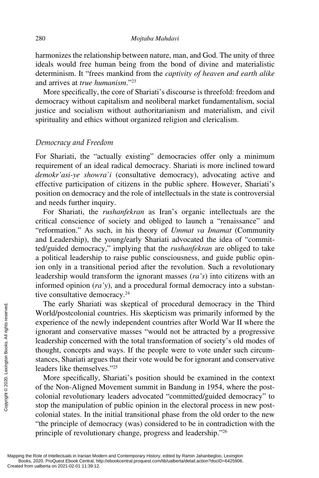harmonizes the relationship between nature, man, and God. The unity of three ideals would free human being from the bond of divine and materialistic determinism. It "frees mankind from the *captivity of heaven and earth alike* and arrives at *true humanism*."23

More specifically, the core of Shariati's discourse is threefold: freedom and democracy without capitalism and neoliberal market fundamentalism, social justice and socialism without authoritarianism and materialism, and civil spirituality and ethics without organized religion and clericalism.

#### *Democracy and Freedom*

For Shariati, the "actually existing" democracies offer only a minimum requirement of an ideal radical democracy. Shariati is more inclined toward *demokr'asi-ye showra`i* (consultative democracy), advocating active and effective participation of citizens in the public sphere. However, Shariati's position on democracy and the role of intellectuals in the state is controversial and needs further inquiry.

For Shariati, the *rushanfekran* as Iran's organic intellectuals are the critical conscience of society and obliged to launch a "renaissance" and "reformation." As such, in his theory of *Ummat va Imamat* (Community and Leadership), the young/early Shariati advocated the idea of "committed/guided democracy," implying that the *rushanfekran* are obliged to take a political leadership to raise public consciousness, and guide public opinion only in a transitional period after the revolution. Such a revolutionary leadership would transform the ignorant masses (*ra's*) into citizens with an informed opinion (*ra'y*), and a procedural formal democracy into a substantive consultative democracy.<sup>24</sup>

The early Shariati was skeptical of procedural democracy in the Third World/postcolonial countries. His skepticism was primarily informed by the experience of the newly independent countries after World War II where the ignorant and conservative masses "would not be attracted by a progressive leadership concerned with the total transformation of society's old modes of thought, concepts and ways. If the people were to vote under such circumstances, Shariati argues that their vote would be for ignorant and conservative leaders like themselves."25 The early Sharlatt<br>
World/postcolonial conserved in the new ignorant and conserved in the properties of the new ignorant and conserved.<br>
Equality concepts and stances, Sharlati argume leaders like themsely<br>
More specifica

More specifically, Shariati's position should be examined in the context of the Non-Aligned Movement summit in Bandung in 1954, where the postcolonial revolutionary leaders advocated "committed/guided democracy" to stop the manipulation of public opinion in the electoral process in new postcolonial states. In the initial transitional phase from the old order to the new "the principle of democracy (was) considered to be in contradiction with the principle of revolutionary change, progress and leadership."26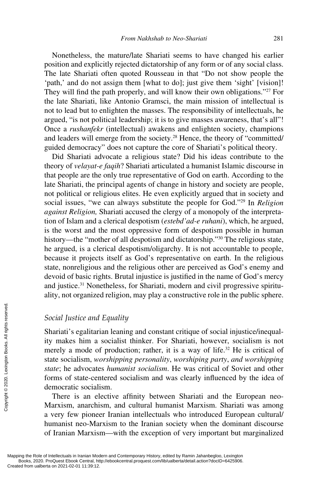Nonetheless, the mature/late Shariati seems to have changed his earlier position and explicitly rejected dictatorship of any form or of any social class. The late Shariati often quoted Rousseau in that "Do not show people the 'path,' and do not assign them [what to do]; just give them 'sight' [vision]! They will find the path properly, and will know their own obligations."<sup>27</sup> For the late Shariati, like Antonio Gramsci, the main mission of intellectual is not to lead but to enlighten the masses. The responsibility of intellectuals, he argued, "is not political leadership; it is to give masses awareness, that's all"! Once a *rushanfekr* (intellectual) awakens and enlighten society, champions and leaders will emerge from the society.28 Hence, the theory of "committed/ guided democracy" does not capture the core of Shariati's political theory.

Did Shariati advocate a religious state? Did his ideas contribute to the theory of *velayat-e faqih*? Shariati articulated a humanist Islamic discourse in that people are the only true representative of God on earth. According to the late Shariati, the principal agents of change in history and society are people, not political or religious elites. He even explicitly argued that in society and social issues, "we can always substitute the people for God."29 In *Religion against Religion,* Shariati accused the clergy of a monopoly of the interpretation of Islam and a clerical despotism (*estebd'ad-e ruhani*), which, he argued, is the worst and the most oppressive form of despotism possible in human history—the "mother of all despotism and dictatorship."<sup>30</sup> The religious state, he argued, is a clerical despotism/oligarchy. It is not accountable to people, because it projects itself as God's representative on earth. In the religious state, nonreligious and the religious other are perceived as God's enemy and devoid of basic rights. Brutal injustice is justified in the name of God's mercy and justice.31 Nonetheless, for Shariati, modern and civil progressive spirituality, not organized religion, may play a constructive role in the public sphere.

#### *Social Justice and Equality*

Shariati's egalitarian leaning and constant critique of social injustice/inequality makes him a socialist thinker. For Shariati, however, socialism is not merely a mode of production; rather, it is a way of life.<sup>32</sup> He is critical of state socialism, *worshipping personality*, *worshiping party*, *and worshipping state*; he advocates *humanist socialism*. He was critical of Soviet and other forms of state-centered socialism and was clearly influenced by the idea of democratic socialism. From Execution Schain and Shariati's egalitaries<br>
ity makes him a<br>
merely a mode of<br>
state socialism, we<br>
state socialism, we<br>
state; he advocate<br>
forms of state-cerved<br>
democratic socialism<br>
There is an el<br>
Marxism, anar

There is an elective affinity between Shariati and the European neo-Marxism, anarchism, and cultural humanist Marxism. Shariati was among a very few pioneer Iranian intellectuals who introduced European cultural/ humanist neo-Marxism to the Iranian society when the dominant discourse of Iranian Marxism—with the exception of very important but marginalized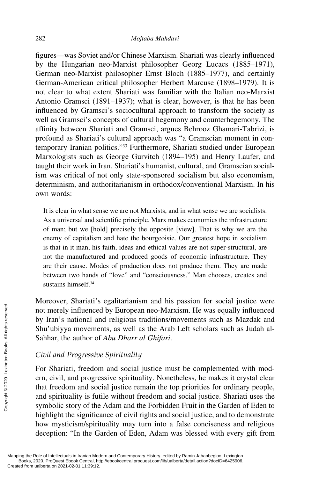figures—was Soviet and/or Chinese Marxism. Shariati was clearly influenced by the Hungarian neo-Marxist philosopher Georg Lucacs (1885–1971), German neo-Marxist philosopher Ernst Bloch (1885–1977), and certainly German-American critical philosopher Herbert Marcuse (1898–1979). It is not clear to what extent Shariati was familiar with the Italian neo-Marxist Antonio Gramsci (1891–1937); what is clear, however, is that he has been influenced by Gramsci's sociocultural approach to transform the society as well as Gramsci's concepts of cultural hegemony and counterhegemony. The affinity between Shariati and Gramsci, argues Behrooz Ghamari-Tabrizi, is profound as Shariati's cultural approach was "a Gramscian moment in contemporary Iranian politics."33 Furthermore, Shariati studied under European Marxologists such as George Gurvitch (1894–195) and Henry Laufer, and taught their work in Iran. Shariati's humanist, cultural, and Gramscian socialism was critical of not only state-sponsored socialism but also economism, determinism, and authoritarianism in orthodox/conventional Marxism. In his own words:

It is clear in what sense we are not Marxists, and in what sense we are socialists. As a universal and scientific principle, Marx makes economics the infrastructure of man; but we [hold] precisely the opposite [view]. That is why we are the enemy of capitalism and hate the bourgeoisie. Our greatest hope in socialism is that in it man, his faith, ideas and ethical values are not super-structural, are not the manufactured and produced goods of economic infrastructure. They are their cause. Modes of production does not produce them. They are made between two hands of "love" and "consciousness." Man chooses, creates and sustains himself.34

Moreover, Shariati's egalitarianism and his passion for social justice were not merely influenced by European neo-Marxism. He was equally influenced by Iran's national and religious traditions/movements such as Mazdak and Shu'ubiyya movements, as well as the Arab Left scholars such as Judah al-Sahhar, the author of *Abu Dharr al Ghifari*.

#### *Civil and Progressive Spirituality*

For Shariati, freedom and social justice must be complemented with modern, civil, and progressive spirituality. Nonetheless, he makes it crystal clear that freedom and social justice remain the top priorities for ordinary people, and spirituality is futile without freedom and social justice. Shariati uses the symbolic story of the Adam and the Forbidden Fruit in the Garden of Eden to highlight the significance of civil rights and social justice, and to demonstrate how mysticism/spirituality may turn into a false conciseness and religious deception: "In the Garden of Eden, Adam was blessed with every gift from From University influence<br>
Entriesting the Sahhar, the author of<br>
Sahhar, the author of<br>
Civil and Progressive<br>
For Shariati, freedom<br>
entriesting From Shariati, freedom<br>
entriesting and spirituality is fut<br>
symbolic stor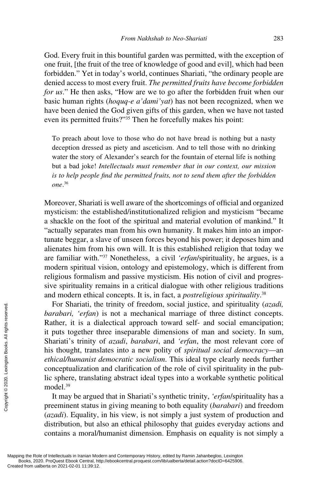God. Every fruit in this bountiful garden was permitted, with the exception of one fruit, [the fruit of the tree of knowledge of good and evil], which had been forbidden." Yet in today's world, continues Shariati, "the ordinary people are denied access to most every fruit. *The permitted fruits have become forbidden for us*." He then asks, "How are we to go after the forbidden fruit when our basic human rights (*hoquq-e a'dami'yat*) has not been recognized, when we have been denied the God given gifts of this garden, when we have not tasted even its permitted fruits?"35 Then he forcefully makes his point:

To preach about love to those who do not have bread is nothing but a nasty deception dressed as piety and asceticism. And to tell those with no drinking water the story of Alexander's search for the fountain of eternal life is nothing but a bad joke! *Intellectuals must remember that in our context, our mission*  is to help people find the permitted fruits, not to send them after the forbidden *one*. 36

Moreover, Shariati is well aware of the shortcomings of official and organized mysticism: the established/institutionalized religion and mysticism "became a shackle on the foot of the spiritual and material evolution of mankind." It "actually separates man from his own humanity. It makes him into an importunate beggar, a slave of unseen forces beyond his power; it deposes him and alienates him from his own will. It is this established religion that today we are familiar with."37 Nonetheless, a civil *'erfan*/spirituality, he argues, is a modern spiritual vision, ontology and epistemology, which is different from religious formalism and passive mysticism. His notion of civil and progressive spirituality remains in a critical dialogue with other religious traditions and modern ethical concepts. It is, in fact, a *postreligious spirituality*. 38

For Shariati, the trinity of freedom, social justice, and spirituality (*azadi, barabari, 'erfan*) is not a mechanical marriage of three distinct concepts. Rather, it is a dialectical approach toward self- and social emancipation; it puts together three inseparable dimensions of man and society. In sum, Shariati's trinity of *azadi*, *barabari*, and *'erfan*, the most relevant core of his thought, translates into a new polity of *spiritual social democracy*—an *ethical/humanist democratic socialism*. This ideal type clearly needs further conceptualization and clarification of the role of civil spirituality in the public sphere, translating abstract ideal types into a workable synthetic political model.39 For Shariati, the barabari, 'erfan)<br>  $\frac{1}{2}$  Extends it puts together the Shariati's trinity of this thought, trans ethical/humanist conceptualization<br>
lies the the conceptualization in the sphere, translamedel.<sup>39</sup><br>
It

It may be argued that in Shariati's synthetic trinity, *'erfan*/spirituality has a preeminent status in giving meaning to both equality (*barabari*) and freedom (*azadi*). Equality, in his view, is not simply a just system of production and distribution, but also an ethical philosophy that guides everyday actions and contains a moral/humanist dimension. Emphasis on equality is not simply a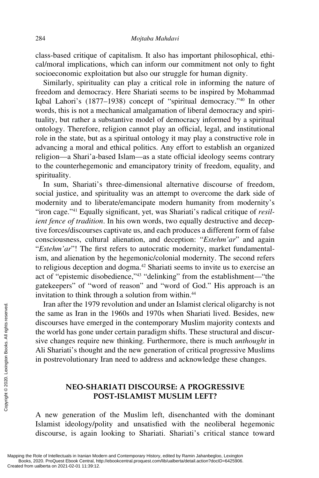class-based critique of capitalism. It also has important philosophical, ethical/moral implications, which can inform our commitment not only to fight socioeconomic exploitation but also our struggle for human dignity.

Similarly, spirituality can play a critical role in informing the nature of freedom and democracy. Here Shariati seems to be inspired by Mohammad Iqbal Lahori's (1877–1938) concept of "spiritual democracy."40 In other words, this is not a mechanical amalgamation of liberal democracy and spirituality, but rather a substantive model of democracy informed by a spiritual ontology. Therefore, religion cannot play an official, legal, and institutional role in the state, but as a spiritual ontology it may play a constructive role in advancing a moral and ethical politics. Any effort to establish an organized religion—a Shari'a-based Islam—as a state official ideology seems contrary to the counterhegemonic and emancipatory trinity of freedom, equality, and spirituality.

In sum, Shariati's three-dimensional alternative discourse of freedom, social justice, and spirituality was an attempt to overcome the dark side of modernity and to liberate/emancipate modern humanity from modernity's "iron cage."41 Equally significant, yet, was Shariati's radical critique of *resilient fence of tradition*. In his own words, two equally destructive and deceptive forces/discourses captivate us, and each produces a different form of false consciousness, cultural alienation, and deception: "*Estehm'ar*" and again "*Estehm'ar*"! The first refers to autocratic modernity, market fundamentalism, and alienation by the hegemonic/colonial modernity. The second refers to religious deception and dogma.<sup>42</sup> Shariati seems to invite us to exercise an act of "epistemic disobedience,"43 "delinking" from the establishment—"the gatekeepers" of "word of reason" and "word of God." His approach is an invitation to think through a solution from within.<sup>44</sup>

Iran after the 1979 revolution and under an Islamist clerical oligarchy is not the same as Iran in the 1960s and 1970s when Shariati lived. Besides, new discourses have emerged in the contemporary Muslim majority contexts and the world has gone under certain paradigm shifts. These structural and discursive changes require new thinking. Furthermore, there is much *unthought* in Ali Shariati's thought and the new generation of critical progressive Muslims in postrevolutionary Iran need to address and acknowledge these changes. Tran arter the 1979<br>
the same as Iran in 1<br>
discourses have eme<br>
the world has gone un<br>
sive changes require<br>
Ali Shariati's though<br>
in postrevolutionary<br>
in postrevolutionary<br> **NEO-SHAPPERE COPYRENT**<br>
PO<br>
A new generatio

## **NEO-SHARIATI DISCOURSE: A PROGRESSIVE POST-ISLAMIST MUSLIM LEFT?**

A new generation of the Muslim left, disenchanted with the dominant Islamist ideology/polity and unsatisfied with the neoliberal hegemonic discourse, is again looking to Shariati. Shariati's critical stance toward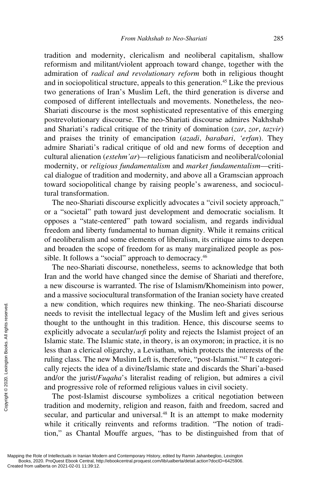tradition and modernity, clericalism and neoliberal capitalism, shallow reformism and militant/violent approach toward change, together with the admiration of *radical and revolutionary reform* both in religious thought and in sociopolitical structure, appeals to this generation.<sup>45</sup> Like the previous two generations of Iran's Muslim Left, the third generation is diverse and composed of different intellectuals and movements. Nonetheless, the neo-Shariati discourse is the most sophisticated representative of this emerging postrevolutionary discourse. The neo-Shariati discourse admires Nakhshab and Shariati's radical critique of the trinity of domination (*zar*, *zor*, *tazvir*) and praises the trinity of emancipation (*azadi*, *barabari*, *'erfan*). They admire Shariati's radical critique of old and new forms of deception and cultural alienation (*estehm'ar*)—religious fanaticism and neoliberal/colonial modernity, or *religious fundamentalism* and *market fundamentalism*—critical dialogue of tradition and modernity, and above all a Gramscian approach toward sociopolitical change by raising people's awareness, and sociocultural transformation.

The neo-Shariati discourse explicitly advocates a "civil society approach," or a "societal" path toward just development and democratic socialism. It opposes a "state-centered" path toward socialism, and regards individual freedom and liberty fundamental to human dignity. While it remains critical of neoliberalism and some elements of liberalism, its critique aims to deepen and broaden the scope of freedom for as many marginalized people as possible. It follows a "social" approach to democracy.<sup>46</sup>

The neo-Shariati discourse, nonetheless, seems to acknowledge that both Iran and the world have changed since the demise of Shariati and therefore, a new discourse is warranted. The rise of Islamism/Khomeinism into power, and a massive sociocultural transformation of the Iranian society have created a new condition, which requires new thinking. The neo-Shariati discourse needs to revisit the intellectual legacy of the Muslim left and gives serious thought to the unthought in this tradition. Hence, this discourse seems to explicitly advocate a secular/*urfi* polity and rejects the Islamist project of an Islamic state. The Islamic state, in theory, is an oxymoron; in practice, it is no less than a clerical oligarchy, a Leviathan, which protects the interests of the ruling class. The new Muslim Left is, therefore, "post-Islamist."47 It categorically rejects the idea of a divine/Islamic state and discards the Shari'a-based and/or the jurist/*Fuqaha*'s literalist reading of religion, but admires a civil and progressive role of reformed religious values in civil society. Example the condition,<br>
a new condition,<br>
needs to revisit the<br>
thought to the un<br>
explicitly advocat<br>
Islamic state. The<br>
less than a clerica<br>
ruling class. The r<br>
cally rejects the ic<br>
and/or the jurist/*l*<br>
and progres

The post-Islamist discourse symbolizes a critical negotiation between tradition and modernity, religion and reason, faith and freedom, sacred and secular, and particular and universal.<sup>48</sup> It is an attempt to make modernity while it critically reinvents and reforms tradition. "The notion of tradition," as Chantal Mouffe argues, "has to be distinguished from that of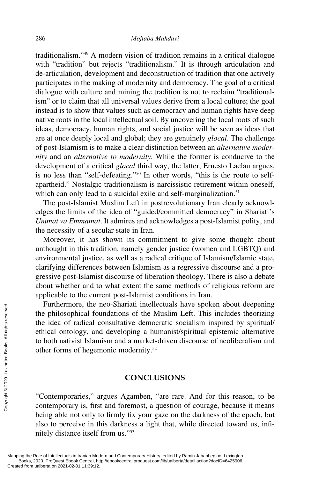traditionalism."49 A modern vision of tradition remains in a critical dialogue with "tradition" but rejects "traditionalism." It is through articulation and de-articulation, development and deconstruction of tradition that one actively participates in the making of modernity and democracy. The goal of a critical dialogue with culture and mining the tradition is not to reclaim "traditionalism" or to claim that all universal values derive from a local culture; the goal instead is to show that values such as democracy and human rights have deep native roots in the local intellectual soil. By uncovering the local roots of such ideas, democracy, human rights, and social justice will be seen as ideas that are at once deeply local and global; they are genuinely *glocal*. The challenge of post-Islamism is to make a clear distinction between an *alternative modernity* and an *alternative to modernity*. While the former is conducive to the development of a critical *glocal* third way, the latter, Ernesto Laclau argues, is no less than "self-defeating."50 In other words, "this is the route to selfapartheid." Nostalgic traditionalism is narcissistic retirement within oneself, which can only lead to a suicidal exile and self-marginalization.<sup>51</sup>

The post-Islamist Muslim Left in postrevolutionary Iran clearly acknowledges the limits of the idea of "guided/committed democracy" in Shariati's *Ummat va Emmamat*. It admires and acknowledges a post-Islamist polity, and the necessity of a secular state in Iran.

Moreover, it has shown its commitment to give some thought about unthought in this tradition, namely gender justice (women and LGBTQ) and environmental justice, as well as a radical critique of Islamism/Islamic state, clarifying differences between Islamism as a regressive discourse and a progressive post-Islamist discourse of liberation theology. There is also a debate about whether and to what extent the same methods of religious reform are applicable to the current post-Islamist conditions in Iran.

Furthermore, the neo-Shariati intellectuals have spoken about deepening the philosophical foundations of the Muslim Left. This includes theorizing the idea of radical consultative democratic socialism inspired by spiritual/ ethical ontology, and developing a humanist/spiritual epistemic alternative to both nativist Islamism and a market-driven discourse of neoliberalism and other forms of hegemonic modernity.52 Furtnermore, the 1<br>
the philosophical for<br>
the idea of radical controllers<br>
thical ontology, and<br>
to both nativist Islam<br>
other forms of hegen<br>
served.<br>
Served. Contemporaries," a<br>
contemporaries," a<br>
contemporary is, fir

#### **CONCLUSIONS**

"Contemporaries," argues Agamben, "are rare. And for this reason, to be contemporary is, first and foremost, a question of courage, because it means being able not only to firmly fix your gaze on the darkness of the epoch, but also to perceive in this darkness a light that, while directed toward us, infinitely distance itself from us."53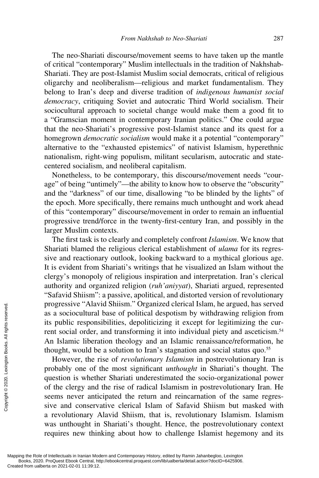The neo-Shariati discourse/movement seems to have taken up the mantle of critical "contemporary" Muslim intellectuals in the tradition of Nakhshab-Shariati. They are post-Islamist Muslim social democrats, critical of religious oligarchy and neoliberalism—religious and market fundamentalism. They belong to Iran's deep and diverse tradition of *indigenous humanist social democracy*, critiquing Soviet and autocratic Third World socialism. Their sociocultural approach to societal change would make them a good fit to a "Gramscian moment in contemporary Iranian politics." One could argue that the neo-Shariati's progressive post-Islamist stance and its quest for a homegrown *democratic socialism* would make it a potential "contemporary" alternative to the "exhausted epistemics" of nativist Islamism, hyperethnic nationalism, right-wing populism, militant secularism, autocratic and statecentered socialism, and neoliberal capitalism.

Nonetheless, to be contemporary, this discourse/movement needs "courage" of being "untimely"—the ability to know how to observe the "obscurity" and the "darkness" of our time, disallowing "to be blinded by the lights" of the epoch. More specifically, there remains much unthought and work ahead of this "contemporary" discourse/movement in order to remain an influential progressive trend/force in the twenty-first-century Iran, and possibly in the larger Muslim contexts.

The first task is to clearly and completely confront *Islamism*. We know that Shariati blamed the religious clerical establishment of *ulama* for its regressive and reactionary outlook, looking backward to a mythical glorious age. It is evident from Shariati's writings that he visualized an Islam without the clergy's monopoly of religious inspiration and interpretation. Iran's clerical authority and organized religion (*ruh'aniyyat*), Shariati argued, represented "Safavid Shiism": a passive, apolitical, and distorted version of revolutionary progressive "Alavid Shiism." Organized clerical Islam, he argued, has served as a sociocultural base of political despotism by withdrawing religion from its public responsibilities, depoliticizing it except for legitimizing the current social order, and transforming it into individual piety and asceticism.<sup>54</sup> An Islamic liberation theology and an Islamic renaissance/reformation, he thought, would be a solution to Iran's stagnation and social status quo.<sup>55</sup>

However, the rise of *revolutionary Islamism* in postrevolutionary Iran is probably one of the most significant *unthought* in Shariati's thought. The question is whether Shariati underestimated the socio-organizational power of the clergy and the rise of radical Islamism in postrevolutionary Iran. He seems never anticipated the return and reincarnation of the same regressive and conservative clerical Islam of Safavid Shiism but masked with a revolutionary Alavid Shiism, that is, revolutionary Islamism. Islamism was unthought in Shariati's thought. Hence, the postrevolutionary context requires new thinking about how to challenge Islamist hegemony and its progressive Alav<br>
as a sociocultural<br>
its public respons<br>
rent social order,<br>
An Islamic libera<br>
thought, would be<br>
However, the r<br>
probably one of i<br>
question is wheth<br>
of the clergy and<br>
seems never anties<br>
seems never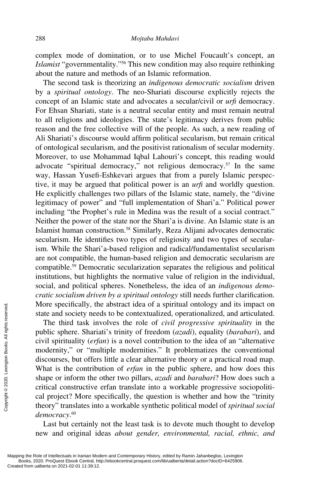complex mode of domination, or to use Michel Foucault's concept, an *Islamist* "governmentality."56 This new condition may also require rethinking about the nature and methods of an Islamic reformation.

The second task is theorizing an *indigenous democratic socialism* driven by a *spiritual ontology*. The neo-Shariati discourse explicitly rejects the concept of an Islamic state and advocates a secular/civil or *urfi* democracy. For Ehsan Shariati, state is a neutral secular entity and must remain neutral to all religions and ideologies. The state's legitimacy derives from public reason and the free collective will of the people. As such, a new reading of Ali Shariati's discourse would affirm political secularism, but remain critical of ontological secularism, and the positivist rationalism of secular modernity. Moreover, to use Mohammad Iqbal Lahouri's concept, this reading would advocate "spiritual democracy," not religious democracy.57 In the same way, Hassan Yusefi-Eshkevari argues that from a purely Islamic perspective, it may be argued that political power is an *urfi* and worldly question. He explicitly challenges two pillars of the Islamic state, namely, the "divine legitimacy of power" and "full implementation of Shari'a." Political power including "the Prophet's rule in Medina was the result of a social contract." Neither the power of the state nor the Shari'a is divine. An Islamic state is an Islamist human construction.58 Similarly, Reza Alijani advocates democratic secularism. He identifies two types of religiosity and two types of secularism. While the Shari'a-based religion and radical/fundamentalist secularism are not compatible, the human-based religion and democratic secularism are compatible.59 Democratic secularization separates the religious and political institutions, but highlights the normative value of religion in the individual, social, and political spheres. Nonetheless, the idea of an *indigenous democratic socialism driven by a spiritual ontology* still needs further clarification. More specifically, the abstract idea of a spiritual ontology and its impact on state and society needs to be contextualized, operationalized, and articulated.

The third task involves the role of *civil progressive spirituality* in the public sphere. Shariati's trinity of freedom (*azadi*), equality (*barabari*), and civil spirituality (*erfan*) is a novel contribution to the idea of an "alternative modernity," or "multiple modernities." It problematizes the conventional discourses, but offers little a clear alternative theory or a practical road map. What is the contribution of *erfan* in the public sphere, and how does this shape or inform the other two pillars, *azadi* and *barabari*? How does such a critical constructive erfan translate into a workable progressive sociopolitical project? More specifically, the question is whether and how the "trinity theory" translates into a workable synthetic political model of *spiritual social democracy*. 60 More spectrically, the state and society nee<br>  $\frac{1}{2}$  and society nee<br>  $\frac{1}{2}$  public sphere. Sharized in public sphere. Sharized in the served from using discourses, but offer:<br>
What is the contribute shape or inform

Last but certainly not the least task is to devote much thought to develop new and original ideas *about gender, environmental, racial, ethnic, and*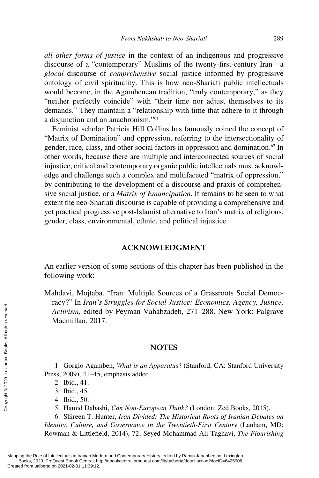*all other forms of justice* in the context of an indigenous and progressive discourse of a "contemporary" Muslims of the twenty-first-century Iran—a *glocal* discourse of *comprehensive* social justice informed by progressive ontology of civil spirituality. This is how neo-Shariati public intellectuals would become, in the Agambenean tradition, "truly contemporary," as they "neither perfectly coincide" with "their time nor adjust themselves to its demands." They maintain a "relationship with time that adhere to it through a disjunction and an anachronism."61

Feminist scholar Patricia Hill Collins has famously coined the concept of "Matrix of Domination" and oppression, referring to the intersectionality of gender, race, class, and other social factors in oppression and domination.<sup>62</sup> In other words, because there are multiple and interconnected sources of social injustice, critical and contemporary organic public intellectuals must acknowledge and challenge such a complex and multifaceted "matrix of oppression," by contributing to the development of a discourse and praxis of comprehensive social justice, or a *Matrix of Emancipation*. It remains to be seen to what extent the neo-Shariati discourse is capable of providing a comprehensive and yet practical progressive post-Islamist alternative to Iran's matrix of religious, gender, class, environmental, ethnic, and political injustice.

#### **ACKNOWLEDGMENT**

An earlier version of some sections of this chapter has been published in the following work:

Mahdavi, Mojtaba. "Iran: Multiple Sources of a Grassroots Social Democracy?" In *Iran's Struggles for Social Justice: Economics, Agency, Justice, Activism*, edited by Peyman Vahabzadeh, 271–288. New York: Palgrave Macmillan, 2017.

#### **NOTES**

1. Gorgio Agamben, *What is an Apparatus*? (Stanford, CA: Stanford University Press, 2009), 41–45, emphasis added.

- 4. Ibid., 50.
- 5. Hamid Dabashi, *Can Non-European Think?* (London: Zed Books, 2015).

6. Shireen T. Hunter, *Iran Divided: The Historical Roots of Iranian Debates on Identity, Culture, and Governance in the Twentieth-First Century* (Lanham, MD: Rowman & Littlefield, 2014), 72; Seyed Mohammad Ali Taghavi, *The Flourishing* 

<sup>2.</sup> Ibid., 41.

<sup>3.</sup> Ibid., 45.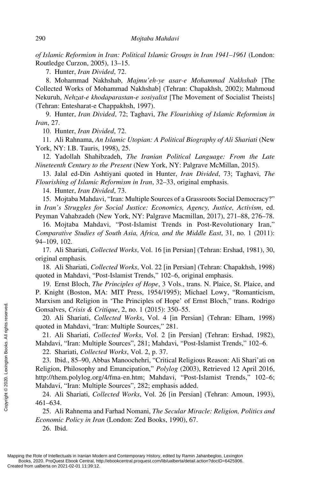*of Islamic Reformism in Iran: Political Islamic Groups in Iran 1941–1961* (London: Routledge Curzon, 2005), 13–15.

7. Hunter, *Iran Divided*, 72.

8. Mohammad Nakhshab, *Majmu'eh-ye asar-e Mohammad Nakhshab* [The Collected Works of Mohammad Nakhshab] (Tehran: Chapakhsh, 2002); Mahmoud Nekuruh, *Nehzat-e khodaparastan-e sosiyalist* [The Movement of Socialist Theists] (Tehran: Entesharat-e Chappakhsh, 1997).

9. Hunter, *Iran Divided*, 72; Taghavi, *The Flourishing of Islamic Reformism in Iran*, 27.

10. Hunter, *Iran Divided*, 72.

11. Ali Rahnama, *An Islamic Utopian: A Political Biography of Ali Shariati* (New York, NY: I.B. Tauris, 1998), 25.

12. Yadollah Shahibzadeh, *The Iranian Political Language: From the Late Nineteenth Century to the Present* (New York, NY: Palgrave McMillan, 2015).

13. Jalal ed-Din Ashtiyani quoted in Hunter, *Iran Divided*, 73; Taghavi, *The Flourishing of Islamic Reformism in Iran*, 32–33, original emphasis.

14. Hunter, *Iran Divided*, 73.

15. Mojtaba Mahdavi, "Iran: Multiple Sources of a Grassroots Social Democracy?" in *Iran's Struggles for Social Justice: Economics, Agency, Justice, Activism*, ed. Peyman Vahabzadeh (New York, NY: Palgrave Macmillan, 2017), 271–88, 276–78.

16. Mojtaba Mahdavi, "Post-Islamist Trends in Post-Revolutionary Iran," *Comparative Studies of South Asia, Africa, and the Middle East*, 31, no. 1 (2011): 94–109, 102.

17. Ali Shariati, *Collected Works*, Vol. 16 [in Persian] (Tehran: Ershad, 1981), 30, original emphasis*.*

18. Ali Shariati, *Collected Works*, Vol. 22 [in Persian] (Tehran: Chapakhsh, 1998) quoted in Mahdavi, "Post-Islamist Trends," 102–6, original emphasis.

19. Ernst Bloch, *The Principles of Hope*, 3 Vols., trans. N. Plaice, St. Plaice, and P. Knight (Boston, MA: MIT Press, 1954/1995); Michael Lowy, "Romanticism, Marxism and Religion in 'The Principles of Hope' of Ernst Bloch," trans. Rodrigo Gonsalves, *Crisis & Critique*, 2, no. 1 (2015): 350–55.

20. Ali Shariati, *Collected Works*, Vol. 4 [in Persian] (Tehran: Elham, 1998) quoted in Mahdavi, "Iran: Multiple Sources," 281.

21. Ali Shariati, *Collected Works*, Vol. 2 [in Persian] (Tehran: Ershad, 1982), Mahdavi, "Iran: Multiple Sources", 281; Mahdavi, "Post-Islamist Trends," 102–6.

22. Shariati, *Collected Works*, Vol. 2, p. 37.

23. Ibid., 85–90, Abbas Manoochehri, "Critical Religious Reason: Ali Shari'ati on Religion, Philosophy and Emancipation," *Polylog* (2003), Retrieved 12 April 2016, http://them.polylog.org/4/fma-en.htm; Mahdavi, "Post-Islamist Trends," 102–6; Mahdavi, "Iran: Multiple Sources", 282; emphasis added. Consalves, *Crisis* & *C*<br>
20. Ali Shariati, *Cc*<br>
quoted in Mahdavi, "Ir<br>
21. Ali Shariati, *Cc*<br>
Mahdavi, "Iran: Multipt<br>
22. Shariati, *Collect*<br>
23. Ibid., 85–90, Ab<br>
Religion, Philosophy a<br>
http://them.polylog.org<br>
M

24. Ali Shariati, *Collected Works*, Vol. 26 [in Persian] (Tehran: Amoun, 1993), 461–634.

25. Ali Rahnema and Farhad Nomani, *The Secular Miracle: Religion, Politics and Economic Policy in Iran* (London: Zed Books, 1990), 67.

26. Ibid.

Mapping the Role of Intellectuals in Iranian Modern and Contemporary History, edited by Ramin Jahanbegloo, Lexington Books, 2020. ProQuest Ebook Central, http://ebookcentral.proquest.com/lib/ualberta/detail.action?docID=6425906.<br>Created from ualberta on 2021-02-01 11:39:12.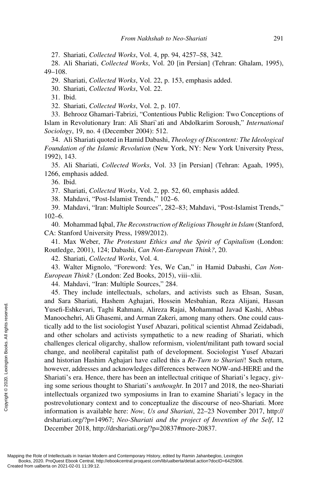27. Shariati, *Collected Works*, Vol. 4, pp. 94, 4257–58, 342.

28. Ali Shariati, *Collected Works*, Vol. 20 [in Persian] (Tehran: Ghalam, 1995), 49–108.

29. Shariati, *Collected Works*, Vol. 22, p. 153, emphasis added.

30. Shariati, *Collected Works*, Vol. 22.

31. Ibid.

32. Shariati, *Collected Works*, Vol. 2, p. 107.

33. Behrooz Ghamari-Tabrizi, "Contentious Public Religion: Two Conceptions of Islam in Revolutionary Iran: Ali Shari`ati and Abdolkarim Soroush," *International Sociology*, 19, no. 4 (December 2004): 512.

34. Ali Shariati quoted in Hamid Dabashi, *Theology of Discontent: The Ideological Foundation of the Islamic Revolution* (New York, NY: New York University Press, 1992), 143.

35. Ali Shariati, *Collected Works*, Vol. 33 [in Persian] (Tehran: Agaah, 1995), 1266, emphasis added.

36. Ibid.

37. Shariati, *Collected Works*, Vol. 2, pp. 52, 60, emphasis added.

38. Mahdavi, "Post-Islamist Trends," 102–6.

39. Mahdavi, "Iran: Multiple Sources", 282–83; Mahdavi, "Post-Islamist Trends," 102–6.

40. Mohammad Iqbal, *The Reconstruction of Religious Thought in Islam* (Stanford, CA: Stanford University Press, 1989/2012).

41. Max Weber, *The Protestant Ethics and the Spirit of Capitalism* (London: Routledge, 2001), 124; Dabashi, *Can Non-European Think?*, 20.

42. Shariati, *Collected Works*, Vol. 4.

43. Walter Mignolo, "Foreword: Yes, We Can," in Hamid Dabashi, *Can Non-European Think?* (London: Zed Books, 2015), viii–xlii.

44. Mahdavi, "Iran: Multiple Sources," 284.

45. They include intellectuals, scholars, and activists such as Ehsan, Susan, and Sara Shariati, Hashem Aghajari, Hossein Mesbahian, Reza Alijani, Hassan Yusefi-Eshkevari, Taghi Rahmani, Alireza Rajai, Mohammad Javad Kashi, Abbas Manoochehri, Ali Ghasemi, and Arman Zakeri, among many others. One could caustically add to the list sociologist Yusef Abazari, political scientist Ahmad Zeidabadi, and other scholars and activists sympathetic to a new reading of Shariati, which challenges clerical oligarchy, shallow reformism, violent/militant path toward social change, and neoliberal capitalist path of development. Sociologist Yusef Abazari and historian Hashim Aghajari have called this a *Re-Turn to Shariati*! Such return, however, addresses and acknowledges differences between NOW-and-HERE and the Shariati's era. Hence, there has been an intellectual critique of Shariati's legacy, giving some serious thought to Shariati's *unthought*. In 2017 and 2018, the neo-Shariati intellectuals organized two symposiums in Iran to examine Shariati's legacy in the postrevolutionary context and to conceptualize the discourse of neo-Shariati. More information is available here: *Now, Us and Shariati*, 22–23 November 2017, [http://](http://drshariati) [drshariati.or](http://drshariati)g/?p=14967; *Neo-Shariati and the project of Invention of the Self*, 12 December 2018, http://drshariati.org/?p=20837#more-20837. Vusefi-Eshkevari, 1<br>
Manoochehri, Ali G<br>
tically add to the lis<br>
and other scholars<br>
challenges clerical of<br>
change, and neolib<br>
and historian Hashi<br>
however, addresses<br>
Shariati's era. Henc<br>
ing some serious the<br>
intelle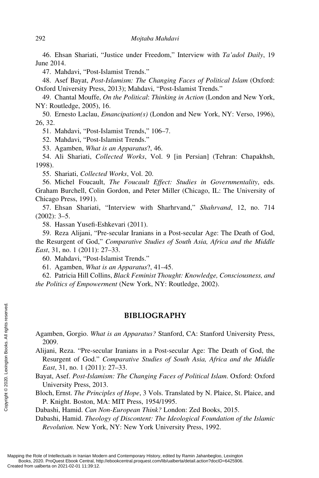46. Ehsan Shariati, "Justice under Freedom," Interview with *Ta'adol Daily*, 19 June 2014.

47. Mahdavi, "Post-Islamist Trends."

48. Asef Bayat, *Post-Islamism: The Changing Faces of Political Islam* (Oxford: Oxford University Press, 2013); Mahdavi, "Post-Islamist Trends."

49. Chantal Mouffe, *On the Political*: *Thinking in Action* (London and New York, NY: Routledge, 2005), 16.

50. Ernesto Laclau, *Emancipation(s)* (London and New York, NY: Verso, 1996), 26, 32.

51. Mahdavi, "Post-Islamist Trends," 106–7.

52. Mahdavi, "Post-Islamist Trends."

53. Agamben, *What is an Apparatus*?, 46.

54. Ali Shariati, *Collected Works*, Vol. 9 [in Persian] (Tehran: Chapakhsh, 1998).

55. Shariati, *Collected Works*, Vol. 20.

56. Michel Foucault, *The Foucault Effect: Studies in Governmentality*, eds. Graham Burchell, Colin Gordon, and Peter Miller (Chicago, IL: The University of Chicago Press, 1991).

57. Ehsan Shariati, "Interview with Sharhrvand," *Shahrvand*, 12, no. 714  $(2002): 3-5.$ 

58. Hassan Yusefi-Eshkevari (2011).

59. Reza Alijani, "Pre-secular Iranians in a Post-secular Age: The Death of God, the Resurgent of God," *Comparative Studies of South Asia, Africa and the Middle East*, 31, no. 1 (2011): 27–33.

60. Mahdavi, "Post-Islamist Trends."

61. Agamben, *What is an Apparatus*?, 41–45.

62. Patricia Hill Collins, *Black Feminist Thought: Knowledge, Consciousness, and the Politics of Empowerment* (New York, NY: Routledge, 2002).

#### **BIBLIOGRAPHY**

Agamben, Gorgio. *What is an Apparatus?* Stanford, CA: Stanford University Press, 2009.

Alijani, Reza. "Pre-secular Iranians in a Post-secular Age: The Death of God, the Resurgent of God." *Comparative Studies of South Asia, Africa and the Middle East*, 31, no. 1 (2011): 27–33. Examples and Control Created from ualberta on 2021-02-01 11:39:12.<br>
Mapping the Role of Intellectuals in Iranian Moorense Results respectively.<br>
Mapping the Role of Intellectuals in Iranian Moorense Results respectively.<br>

Bayat, Asef. *Post-Islamism: The Changing Faces of Political Islam*. Oxford: Oxford University Press, 2013.

Bloch, Ernst. *The Principles of Hope*, 3 Vols. Translated by N. Plaice, St. Plaice, and P. Knight. Boston, MA: MIT Press, 1954/1995.

Dabashi, Hamid. *Can Non-European Think?* London: Zed Books, 2015.

Dabashi, Hamid. *Theology of Discontent: The Ideological Foundation of the Islamic Revolution.* New York, NY: New York University Press, 1992.

Mapping the Role of Intellectuals in Iranian Modern and Contemporary History, edited by Ramin Jahanbegloo, Lexington Books, 2020. ProQuest Ebook Central, http://ebookcentral.proquest.com/lib/ualberta/detail.action?docID=6425906.<br>Created from ualberta on 2021-02-01 11:39:12.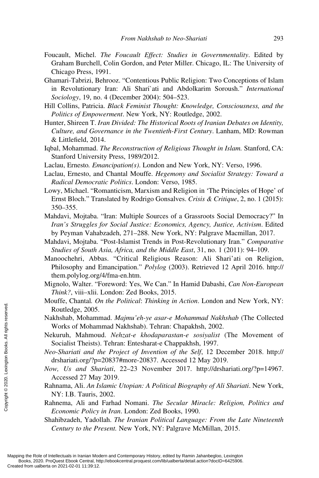- Foucault, Michel. *The Foucault Effect: Studies in Governmentality*. Edited by Graham Burchell, Colin Gordon, and Peter Miller. Chicago, IL: The University of Chicago Press, 1991.
- Ghamari-Tabrizi, Behrooz. "Contentious Public Religion: Two Conceptions of Islam in Revolutionary Iran: Ali Shari`ati and Abdolkarim Soroush." *International Sociology*, 19, no. 4 (December 2004): 504–523.
- Hill Collins, Patricia. *Black Feminist Thought: Knowledge, Consciousness, and the Politics of Empowerment*. New York, NY: Routledge, 2002.
- Hunter, Shireen T. *Iran Divided: The Historical Roots of Iranian Debates on Identity, Culture, and Governance in the Twentieth-First Century*. Lanham, MD: Rowman & Littlefield, 2014.
- Iqbal, Mohammad. *The Reconstruction of Religious Thought in Islam.* Stanford, CA: Stanford University Press, 1989/2012.
- Laclau, Ernesto*. Emancipation(s)*. London and New York, NY: Verso, 1996.
- Laclau, Ernesto, and Chantal Mouffe. *Hegemony and Socialist Strategy: Toward a Radical Democratic Politics*. London: Verso, 1985.
- Lowy, Michael. "Romanticism, Marxism and Religion in 'The Principles of Hope' of Ernst Bloch." Translated by Rodrigo Gonsalves. *Crisis & Critique*, 2, no. 1 (2015): 350–355.
- Mahdavi, Mojtaba. "Iran: Multiple Sources of a Grassroots Social Democracy?" In *Iran's Struggles for Social Justice: Economics, Agency, Justice, Activism*. Edited by Peyman Vahabzadeh, 271–288. New York, NY: Palgrave Macmillan, 2017.
- Mahdavi, Mojtaba. "Post-Islamist Trends in Post-Revolutionary Iran." *Comparative Studies of South Asia, Africa, and the Middle East*, 31, no. 1 (2011): 94–109.
- Manoochehri, Abbas. "Critical Religious Reason: Ali Shari'ati on Religion, Philosophy and Emancipation." *Polylog* (2003). Retrieved 12 April 2016. [http://](http://them) [them.po](http://them)lylog.org/4/fma-en.htm.
- Mignolo, Walter. "Foreword: Yes, We Can." In Hamid Dabashi, *Can Non-European Think?*, viii–xlii. London: Zed Books, 2015.
- Mouffe, Chantal*. On the Political*: *Thinking in Action*. London and New York, NY: Routledge, 2005.
- Nakhshab, Mohammad. *Majmu'eh-ye asar-e Mohammad Nakhshab* (The Collected Works of Mohammad Nakhshab). Tehran: Chapakhsh, 2002.
- Nekuruh, Mahmoud. *Nehzat-e khodaparastan-e sosiyalist* (The Movement of Socialist Theists). Tehran: Entesharat-e Chappakhsh, 1997.
- *Neo-Shariati and the Project of Invention of the Self*, 12 December 2018. [http://](http://drshariati) [drshariati.or](http://drshariati)g/?p=20837#more-20837. Accessed 12 May 2019.
- *Now, Us and Shariati*, 22–23 November 2017. [http://drshariati.or](http://drshariati)g/?p=14967. Accessed 27 May 2019.
- Rahnama, Ali. *An Islamic Utopian: A Political Biography of Ali Shariati*. New York, NY: I.B. Tauris, 2002.
- Rahnema, Ali and Farhad Nomani. *The Secular Miracle: Religion, Politics and Economic Policy in Iran*. London: Zed Books, 1990.
- Shahibzadeh, Yadollah. *The Iranian Political Language: From the Late Nineteenth Century to the Present.* New York, NY: Palgrave McMillan, 2015.